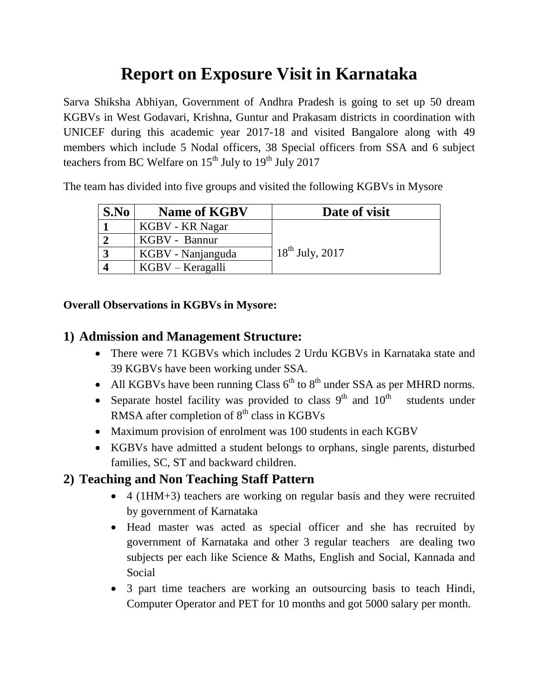# **Report on Exposure Visit in Karnataka**

Sarva Shiksha Abhiyan, Government of Andhra Pradesh is going to set up 50 dream KGBVs in West Godavari, Krishna, Guntur and Prakasam districts in coordination with UNICEF during this academic year 2017-18 and visited Bangalore along with 49 members which include 5 Nodal officers, 38 Special officers from SSA and 6 subject teachers from BC Welfare on  $15<sup>th</sup>$  July to  $19<sup>th</sup>$  July 2017

The team has divided into five groups and visited the following KGBVs in Mysore

| S.No | <b>Name of KGBV</b> | Date of visit        |
|------|---------------------|----------------------|
|      | KGBV - KR Nagar     |                      |
|      | KGBV - Bannur       |                      |
|      | KGBV - Nanjanguda   | $18^{th}$ July, 2017 |
|      | $KGBV - Keragalli$  |                      |

#### **Overall Observations in KGBVs in Mysore:**

#### **1) Admission and Management Structure:**

- There were 71 KGBVs which includes 2 Urdu KGBVs in Karnataka state and 39 KGBVs have been working under SSA.
- All KGBVs have been running Class  $6<sup>th</sup>$  to  $8<sup>th</sup>$  under SSA as per MHRD norms.
- Separate hostel facility was provided to class  $9<sup>th</sup>$  and  $10<sup>th</sup>$  students under RMSA after completion of  $8<sup>th</sup>$  class in KGBVs
- Maximum provision of enrolment was 100 students in each KGBV
- KGBVs have admitted a student belongs to orphans, single parents, disturbed families, SC, ST and backward children.

### **2) Teaching and Non Teaching Staff Pattern**

- 4 (1HM+3) teachers are working on regular basis and they were recruited by government of Karnataka
- Head master was acted as special officer and she has recruited by government of Karnataka and other 3 regular teachers are dealing two subjects per each like Science & Maths, English and Social, Kannada and Social
- 3 part time teachers are working an outsourcing basis to teach Hindi, Computer Operator and PET for 10 months and got 5000 salary per month.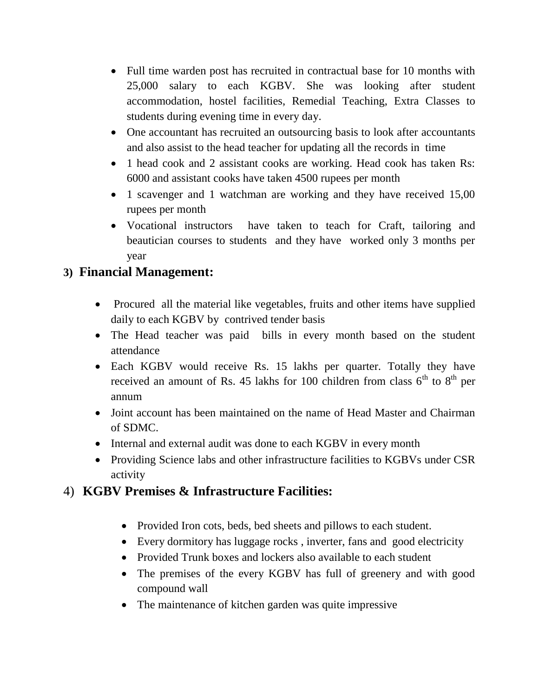- Full time warden post has recruited in contractual base for 10 months with 25,000 salary to each KGBV. She was looking after student accommodation, hostel facilities, Remedial Teaching, Extra Classes to students during evening time in every day.
- One accountant has recruited an outsourcing basis to look after accountants and also assist to the head teacher for updating all the records in time
- 1 head cook and 2 assistant cooks are working. Head cook has taken Rs: 6000 and assistant cooks have taken 4500 rupees per month
- 1 scavenger and 1 watchman are working and they have received 15,00 rupees per month
- Vocational instructors have taken to teach for Craft, tailoring and beautician courses to students and they have worked only 3 months per year

### **3) Financial Management:**

- Procured all the material like vegetables, fruits and other items have supplied daily to each KGBV by contrived tender basis
- The Head teacher was paid bills in every month based on the student attendance
- Each KGBV would receive Rs. 15 lakhs per quarter. Totally they have received an amount of Rs. 45 lakhs for 100 children from class  $6<sup>th</sup>$  to  $8<sup>th</sup>$  per annum
- Joint account has been maintained on the name of Head Master and Chairman of SDMC.
- Internal and external audit was done to each KGBV in every month
- Providing Science labs and other infrastructure facilities to KGBVs under CSR activity

### 4) **KGBV Premises & Infrastructure Facilities:**

- Provided Iron cots, beds, bed sheets and pillows to each student.
- Every dormitory has luggage rocks , inverter, fans and good electricity
- Provided Trunk boxes and lockers also available to each student
- The premises of the every KGBV has full of greenery and with good compound wall
- The maintenance of kitchen garden was quite impressive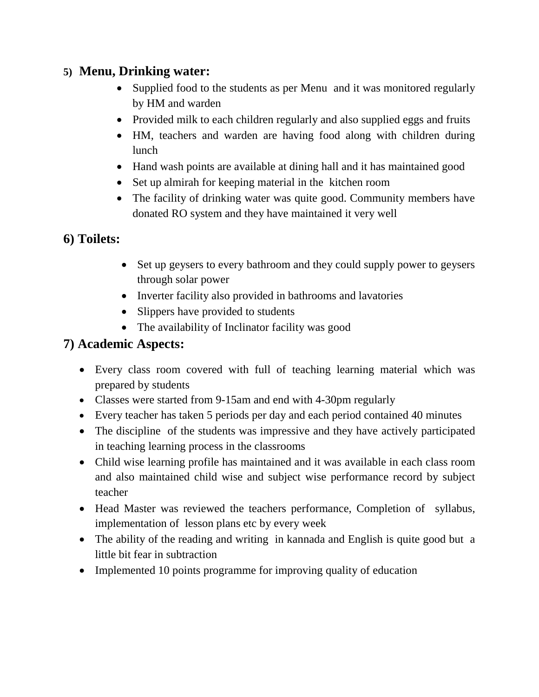#### **5) Menu, Drinking water:**

- Supplied food to the students as per Menu and it was monitored regularly by HM and warden
- Provided milk to each children regularly and also supplied eggs and fruits
- HM, teachers and warden are having food along with children during lunch
- Hand wash points are available at dining hall and it has maintained good
- Set up almirah for keeping material in the kitchen room
- The facility of drinking water was quite good. Community members have donated RO system and they have maintained it very well

### **6) Toilets:**

- Set up geysers to every bathroom and they could supply power to geysers through solar power
- Inverter facility also provided in bathrooms and lavatories
- Slippers have provided to students
- The availability of Inclinator facility was good

### **7) Academic Aspects:**

- Every class room covered with full of teaching learning material which was prepared by students
- Classes were started from 9-15am and end with 4-30pm regularly
- Every teacher has taken 5 periods per day and each period contained 40 minutes
- The discipline of the students was impressive and they have actively participated in teaching learning process in the classrooms
- Child wise learning profile has maintained and it was available in each class room and also maintained child wise and subject wise performance record by subject teacher
- Head Master was reviewed the teachers performance, Completion of syllabus, implementation of lesson plans etc by every week
- The ability of the reading and writing in kannada and English is quite good but a little bit fear in subtraction
- Implemented 10 points programme for improving quality of education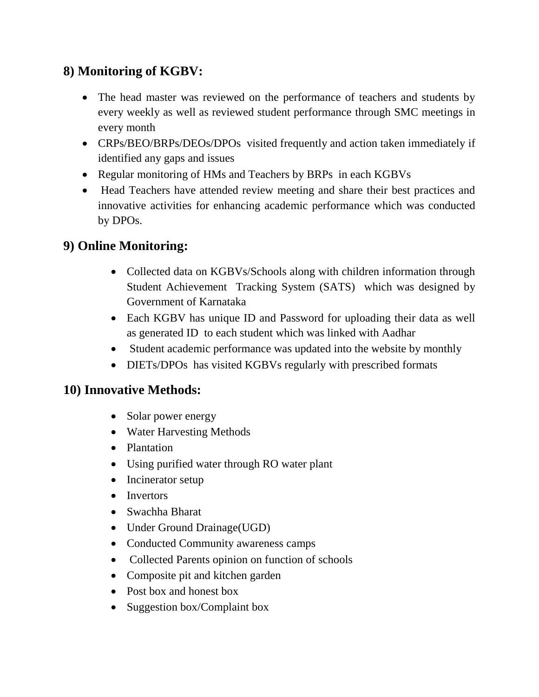## **8) Monitoring of KGBV:**

- The head master was reviewed on the performance of teachers and students by every weekly as well as reviewed student performance through SMC meetings in every month
- CRPs/BEO/BRPs/DEOs/DPOs visited frequently and action taken immediately if identified any gaps and issues
- Regular monitoring of HMs and Teachers by BRPs in each KGBVs
- Head Teachers have attended review meeting and share their best practices and innovative activities for enhancing academic performance which was conducted by DPOs.

### **9) Online Monitoring:**

- Collected data on KGBVs/Schools along with children information through Student Achievement Tracking System (SATS) which was designed by Government of Karnataka
- Each KGBV has unique ID and Password for uploading their data as well as generated ID to each student which was linked with Aadhar
- Student academic performance was updated into the website by monthly
- DIETs/DPOs has visited KGBVs regularly with prescribed formats

#### **10) Innovative Methods:**

- Solar power energy
- Water Harvesting Methods
- Plantation
- Using purified water through RO water plant
- Incinerator setup
- Invertors
- Swachha Bharat
- Under Ground Drainage(UGD)
- Conducted Community awareness camps
- Collected Parents opinion on function of schools
- Composite pit and kitchen garden
- Post box and honest box
- Suggestion box/Complaint box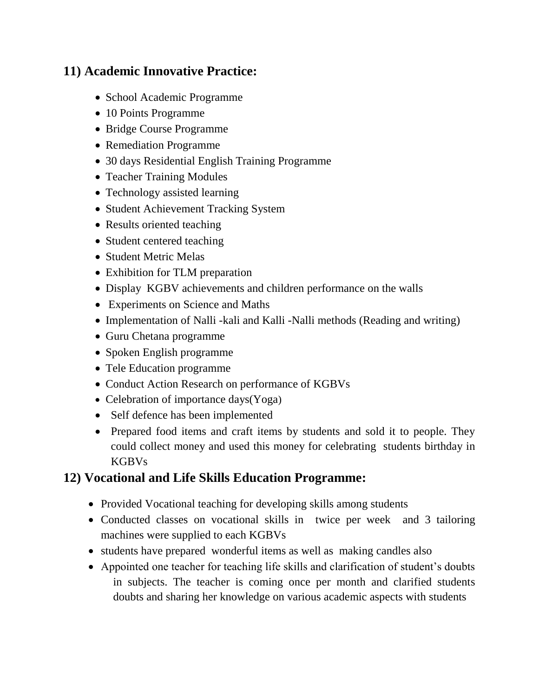### **11) Academic Innovative Practice:**

- School Academic Programme
- 10 Points Programme
- Bridge Course Programme
- Remediation Programme
- 30 days Residential English Training Programme
- Teacher Training Modules
- Technology assisted learning
- Student Achievement Tracking System
- Results oriented teaching
- Student centered teaching
- Student Metric Melas
- Exhibition for TLM preparation
- Display KGBV achievements and children performance on the walls
- Experiments on Science and Maths
- Implementation of Nalli -kali and Kalli -Nalli methods (Reading and writing)
- Guru Chetana programme
- Spoken English programme
- Tele Education programme
- Conduct Action Research on performance of KGBVs
- Celebration of importance days (Yoga)
- Self defence has been implemented
- Prepared food items and craft items by students and sold it to people. They could collect money and used this money for celebrating students birthday in KGBVs

#### **12) Vocational and Life Skills Education Programme:**

- Provided Vocational teaching for developing skills among students
- Conducted classes on vocational skills in twice per week and 3 tailoring machines were supplied to each KGBVs
- students have prepared wonderful items as well as making candles also
- Appointed one teacher for teaching life skills and clarification of student's doubts in subjects. The teacher is coming once per month and clarified students doubts and sharing her knowledge on various academic aspects with students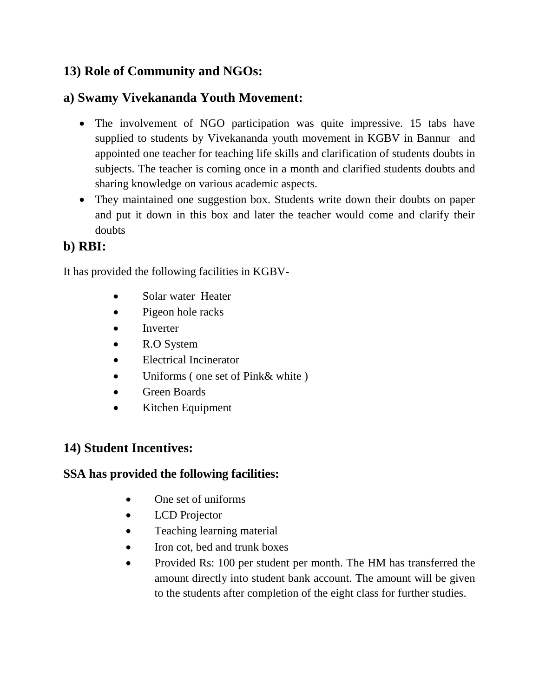## **13) Role of Community and NGOs:**

#### **a) Swamy Vivekananda Youth Movement:**

- The involvement of NGO participation was quite impressive. 15 tabs have supplied to students by Vivekananda youth movement in KGBV in Bannur and appointed one teacher for teaching life skills and clarification of students doubts in subjects. The teacher is coming once in a month and clarified students doubts and sharing knowledge on various academic aspects.
- They maintained one suggestion box. Students write down their doubts on paper and put it down in this box and later the teacher would come and clarify their doubts

### **b) RBI:**

It has provided the following facilities in KGBV-

- Solar water Heater
- Pigeon hole racks
- Inverter
- R.O System
- Electrical Incinerator
- Uniforms (one set of Pink& white)
- Green Boards
- Kitchen Equipment

#### **14) Student Incentives:**

#### **SSA has provided the following facilities:**

- One set of uniforms
- LCD Projector
- Teaching learning material
- Iron cot, bed and trunk boxes
- Provided Rs: 100 per student per month. The HM has transferred the amount directly into student bank account. The amount will be given to the students after completion of the eight class for further studies.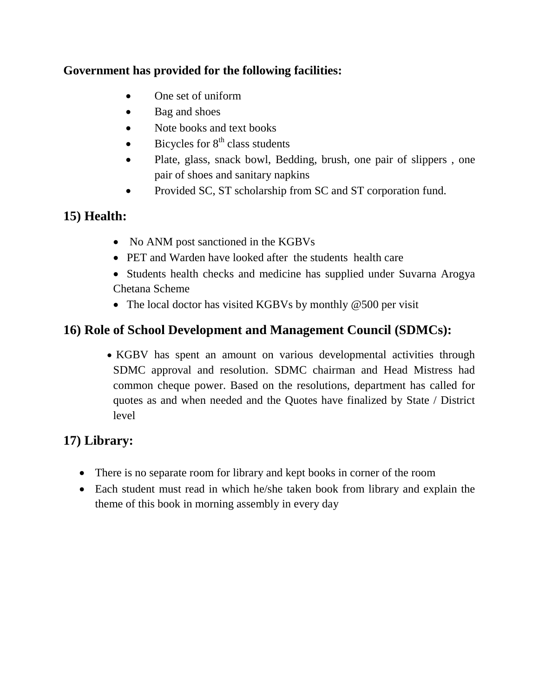#### **Government has provided for the following facilities:**

- One set of uniform
- Bag and shoes
- Note books and text books
- $\bullet$  Bicycles for  $8<sup>th</sup>$  class students
- Plate, glass, snack bowl, Bedding, brush, one pair of slippers , one pair of shoes and sanitary napkins
- Provided SC, ST scholarship from SC and ST corporation fund.

### **15) Health:**

- No ANM post sanctioned in the KGBVs
- PET and Warden have looked after the students health care
- Students health checks and medicine has supplied under Suvarna Arogya Chetana Scheme
- The local doctor has visited KGBVs by monthly @500 per visit

# **16) Role of School Development and Management Council (SDMCs):**

• KGBV has spent an amount on various developmental activities through SDMC approval and resolution. SDMC chairman and Head Mistress had common cheque power. Based on the resolutions, department has called for quotes as and when needed and the Quotes have finalized by State / District level

# **17) Library:**

- There is no separate room for library and kept books in corner of the room
- Each student must read in which he/she taken book from library and explain the theme of this book in morning assembly in every day